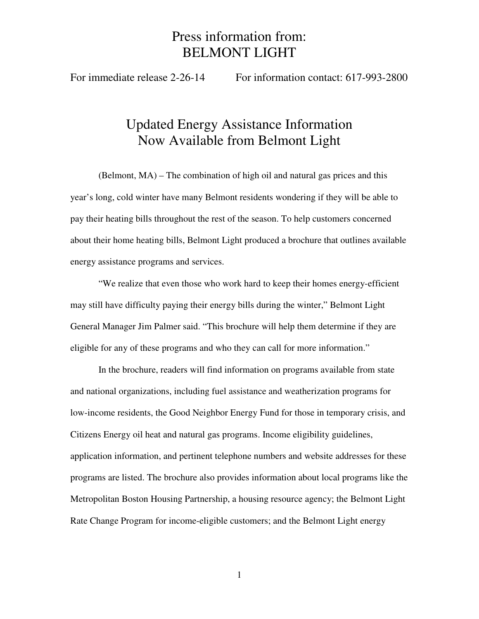## Press information from: BELMONT LIGHT

For immediate release 2-26-14 For information contact: 617-993-2800

## Updated Energy Assistance Information Now Available from Belmont Light

(Belmont, MA) – The combination of high oil and natural gas prices and this year's long, cold winter have many Belmont residents wondering if they will be able to pay their heating bills throughout the rest of the season. To help customers concerned about their home heating bills, Belmont Light produced a brochure that outlines available energy assistance programs and services.

"We realize that even those who work hard to keep their homes energy-efficient may still have difficulty paying their energy bills during the winter," Belmont Light General Manager Jim Palmer said. "This brochure will help them determine if they are eligible for any of these programs and who they can call for more information."

In the brochure, readers will find information on programs available from state and national organizations, including fuel assistance and weatherization programs for low-income residents, the Good Neighbor Energy Fund for those in temporary crisis, and Citizens Energy oil heat and natural gas programs. Income eligibility guidelines, application information, and pertinent telephone numbers and website addresses for these programs are listed. The brochure also provides information about local programs like the Metropolitan Boston Housing Partnership, a housing resource agency; the Belmont Light Rate Change Program for income-eligible customers; and the Belmont Light energy

1